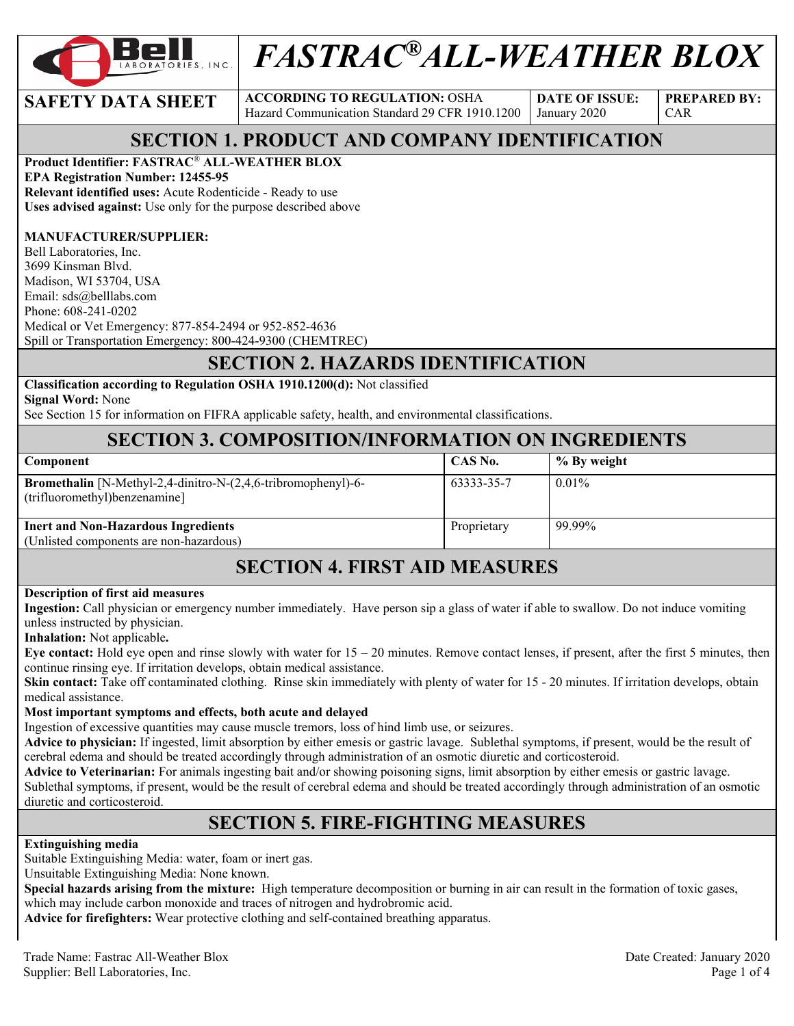

# *FASTRAC®ALL-WEATHER BLOX*

**SAFETY DATA SHEET** ACCORDING TO REGULATION: OSHA Hazard Communication Standard 29 CFR 1910.1200

**DATE OF ISSUE:**  January 2020

**PREPARED BY:**  CAR

#### **SECTION 1. PRODUCT AND COMPANY IDENTIFICATION**

#### **Product Identifier: FASTRAC**® **ALL-WEATHER BLOX**

**EPA Registration Number: 12455-95 Relevant identified uses:** Acute Rodenticide - Ready to use **Uses advised against:** Use only for the purpose described above

#### **MANUFACTURER/SUPPLIER:**

Bell Laboratories, Inc. 3699 Kinsman Blvd. Madison, WI 53704, USA Email: sds@belllabs.com Phone: 608-241-0202 Medical or Vet Emergency: 877-854-2494 or 952-852-4636 Spill or Transportation Emergency: 800-424-9300 (CHEMTREC)

#### **SECTION 2. HAZARDS IDENTIFICATION**

#### **Classification according to Regulation OSHA 1910.1200(d):** Not classified

**Signal Word:** None

See Section 15 for information on FIFRA applicable safety, health, and environmental classifications.

#### **SECTION 3. COMPOSITION/INFORMATION ON INGREDIENTS**

| Component                                                                                              | CAS No.     | % By weight |
|--------------------------------------------------------------------------------------------------------|-------------|-------------|
| <b>Bromethalin</b> [N-Methyl-2,4-dinitro-N-(2,4,6-tribromophenyl)-6-<br>(trifluoromethyl) benzenamine] | 63333-35-7  | $0.01\%$    |
| <b>Inert and Non-Hazardous Ingredients</b>                                                             | Proprietary | 99.99%      |
| (Unlisted components are non-hazardous)                                                                |             |             |

#### **SECTION 4. FIRST AID MEASURES**

#### **Description of first aid measures**

**Ingestion:** Call physician or emergency number immediately. Have person sip a glass of water if able to swallow. Do not induce vomiting unless instructed by physician.

**Inhalation:** Not applicable**.** 

**Eye contact:** Hold eye open and rinse slowly with water for  $15 - 20$  minutes. Remove contact lenses, if present, after the first 5 minutes, then continue rinsing eye. If irritation develops, obtain medical assistance.

**Skin contact:** Take off contaminated clothing. Rinse skin immediately with plenty of water for 15 - 20 minutes. If irritation develops, obtain medical assistance.

#### **Most important symptoms and effects, both acute and delayed**

Ingestion of excessive quantities may cause muscle tremors, loss of hind limb use, or seizures.

**Advice to physician:** If ingested, limit absorption by either emesis or gastric lavage. Sublethal symptoms, if present, would be the result of cerebral edema and should be treated accordingly through administration of an osmotic diuretic and corticosteroid.

**Advice to Veterinarian:** For animals ingesting bait and/or showing poisoning signs, limit absorption by either emesis or gastric lavage. Sublethal symptoms, if present, would be the result of cerebral edema and should be treated accordingly through administration of an osmotic diuretic and corticosteroid.

#### **SECTION 5. FIRE-FIGHTING MEASURES**

#### **Extinguishing media**

Suitable Extinguishing Media: water, foam or inert gas.

Unsuitable Extinguishing Media: None known.

**Special hazards arising from the mixture:** High temperature decomposition or burning in air can result in the formation of toxic gases, which may include carbon monoxide and traces of nitrogen and hydrobromic acid.

**Advice for firefighters:** Wear protective clothing and self-contained breathing apparatus.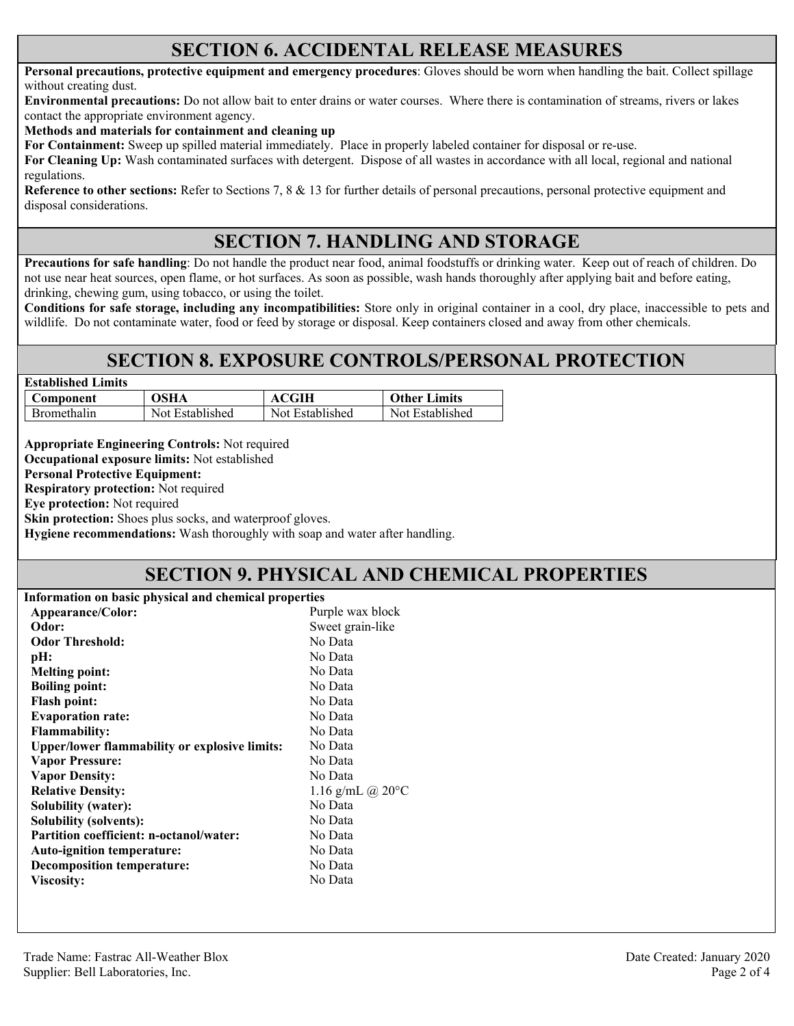#### **SECTION 6. ACCIDENTAL RELEASE MEASURES**

**Personal precautions, protective equipment and emergency procedures**: Gloves should be worn when handling the bait. Collect spillage without creating dust.

**Environmental precautions:** Do not allow bait to enter drains or water courses. Where there is contamination of streams, rivers or lakes contact the appropriate environment agency.

**Methods and materials for containment and cleaning up**

**For Containment:** Sweep up spilled material immediately. Place in properly labeled container for disposal or re-use.

**For Cleaning Up:** Wash contaminated surfaces with detergent. Dispose of all wastes in accordance with all local, regional and national regulations.

**Reference to other sections:** Refer to Sections 7, 8 & 13 for further details of personal precautions, personal protective equipment and disposal considerations.

#### **SECTION 7. HANDLING AND STORAGE**

**Precautions for safe handling**: Do not handle the product near food, animal foodstuffs or drinking water. Keep out of reach of children. Do not use near heat sources, open flame, or hot surfaces. As soon as possible, wash hands thoroughly after applying bait and before eating, drinking, chewing gum, using tobacco, or using the toilet.

**Conditions for safe storage, including any incompatibilities:** Store only in original container in a cool, dry place, inaccessible to pets and wildlife. Do not contaminate water, food or feed by storage or disposal. Keep containers closed and away from other chemicals.

#### **SECTION 8. EXPOSURE CONTROLS/PERSONAL PROTECTION**

| <b>Established Limits</b> |                 |                 |                     |  |
|---------------------------|-----------------|-----------------|---------------------|--|
| Component                 | OSHA            | ACGIH           | <b>Other Limits</b> |  |
| <b>Bromethalin</b>        | Not Established | Not Established | Not Established     |  |

**Appropriate Engineering Controls:** Not required

**Occupational exposure limits:** Not established

**Personal Protective Equipment:** 

**Respiratory protection:** Not required

**Eye protection:** Not required

**Skin protection:** Shoes plus socks, and waterproof gloves.

**Hygiene recommendations:** Wash thoroughly with soap and water after handling.

# **SECTION 9. PHYSICAL AND CHEMICAL PROPERTIES**

| Information on basic physical and chemical properties |                            |
|-------------------------------------------------------|----------------------------|
| Appearance/Color:                                     | Purple wax block           |
| Odor:                                                 | Sweet grain-like           |
| <b>Odor Threshold:</b>                                | No Data                    |
| pH:                                                   | No Data                    |
| <b>Melting point:</b>                                 | No Data                    |
| <b>Boiling point:</b>                                 | No Data                    |
| <b>Flash point:</b>                                   | No Data                    |
| <b>Evaporation rate:</b>                              | No Data                    |
| <b>Flammability:</b>                                  | No Data                    |
| <b>Upper/lower flammability or explosive limits:</b>  | No Data                    |
| <b>Vapor Pressure:</b>                                | No Data                    |
| <b>Vapor Density:</b>                                 | No Data                    |
| <b>Relative Density:</b>                              | 1.16 g/mL @ $20^{\circ}$ C |
| <b>Solubility (water):</b>                            | No Data                    |
| <b>Solubility (solvents):</b>                         | No Data                    |
| Partition coefficient: n-octanol/water:               | No Data                    |
| <b>Auto-ignition temperature:</b>                     | No Data                    |
| <b>Decomposition temperature:</b>                     | No Data                    |
| <b>Viscosity:</b>                                     | No Data                    |
|                                                       |                            |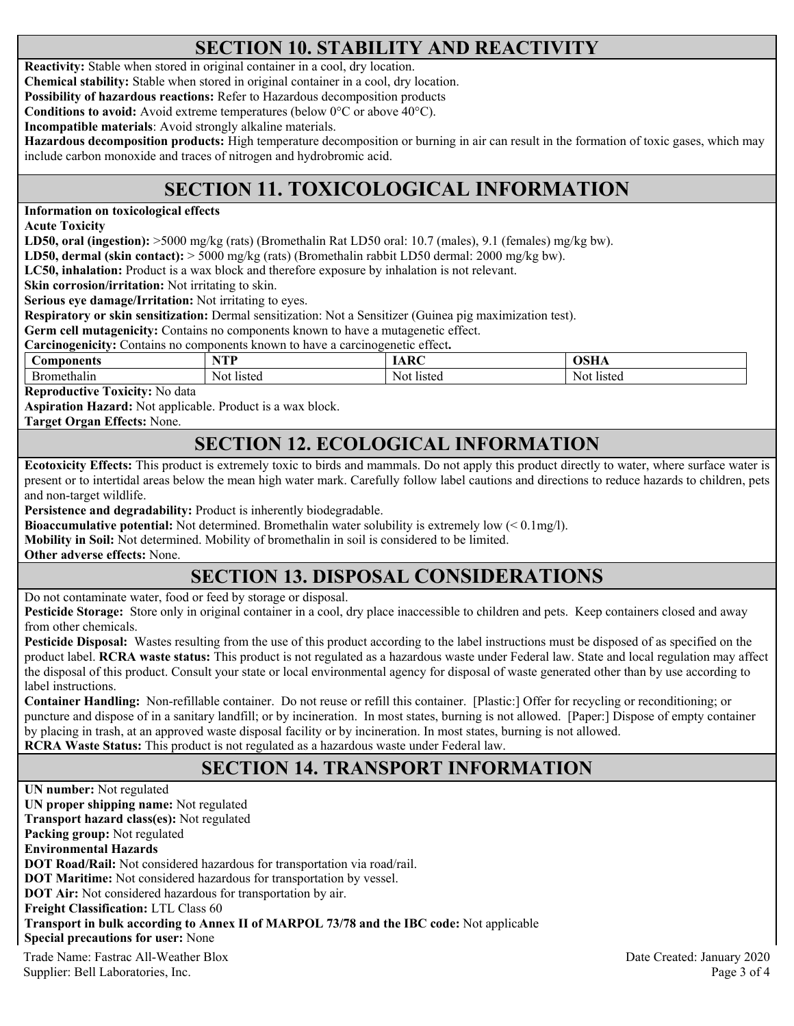# **SECTION 10. STABILITY AND REACTIVITY**

**Reactivity:** Stable when stored in original container in a cool, dry location.

**Chemical stability:** Stable when stored in original container in a cool, dry location.

**Possibility of hazardous reactions:** Refer to Hazardous decomposition products

**Conditions to avoid:** Avoid extreme temperatures (below 0°C or above 40°C).

**Incompatible materials**: Avoid strongly alkaline materials.

**Hazardous decomposition products:** High temperature decomposition or burning in air can result in the formation of toxic gases, which may include carbon monoxide and traces of nitrogen and hydrobromic acid.

# **SECTION 11. TOXICOLOGICAL INFORMATION**

**Information on toxicological effects** 

**Acute Toxicity** 

**LD50, oral (ingestion):** >5000 mg/kg (rats) (Bromethalin Rat LD50 oral: 10.7 (males), 9.1 (females) mg/kg bw).

**LD50, dermal (skin contact):** > 5000 mg/kg (rats) (Bromethalin rabbit LD50 dermal: 2000 mg/kg bw).

**LC50, inhalation:** Product is a wax block and therefore exposure by inhalation is not relevant.

**Skin corrosion/irritation:** Not irritating to skin.

**Serious eye damage/Irritation:** Not irritating to eyes.

**Respiratory or skin sensitization:** Dermal sensitization: Not a Sensitizer (Guinea pig maximization test).

**Germ cell mutagenicity:** Contains no components known to have a mutagenetic effect.

**Carcinogenicity:** Contains no components known to have a carcinogenetic effect**.** 

| Jomponents | VTD<br>. . | $\mathbf{D}$ | лен<br>VOLLA |
|------------|------------|--------------|--------------|
| nethalin   | Noi        | Not.         | listed       |
| . ) I '    | listed     | listed       | -Not         |

**Reproductive Toxicity:** No data

**Aspiration Hazard:** Not applicable. Product is a wax block.

**Target Organ Effects:** None.

#### **SECTION 12. ECOLOGICAL INFORMATION**

**Ecotoxicity Effects:** This product is extremely toxic to birds and mammals. Do not apply this product directly to water, where surface water is present or to intertidal areas below the mean high water mark. Carefully follow label cautions and directions to reduce hazards to children, pets and non-target wildlife.

**Persistence and degradability:** Product is inherently biodegradable.

**Bioaccumulative potential:** Not determined. Bromethalin water solubility is extremely low (< 0.1mg/l).

**Mobility in Soil:** Not determined. Mobility of bromethalin in soil is considered to be limited.

**Other adverse effects:** None.

# **SECTION 13. DISPOSAL CONSIDERATIONS**

Do not contaminate water, food or feed by storage or disposal.

**Pesticide Storage:** Store only in original container in a cool, dry place inaccessible to children and pets. Keep containers closed and away from other chemicals.

**Pesticide Disposal:** Wastes resulting from the use of this product according to the label instructions must be disposed of as specified on the product label. **RCRA waste status:** This product is not regulated as a hazardous waste under Federal law. State and local regulation may affect the disposal of this product. Consult your state or local environmental agency for disposal of waste generated other than by use according to label instructions.

**Container Handling:** Non-refillable container. Do not reuse or refill this container. [Plastic:] Offer for recycling or reconditioning; or puncture and dispose of in a sanitary landfill; or by incineration. In most states, burning is not allowed. [Paper:] Dispose of empty container by placing in trash, at an approved waste disposal facility or by incineration. In most states, burning is not allowed. **RCRA Waste Status:** This product is not regulated as a hazardous waste under Federal law.

# **SECTION 14. TRANSPORT INFORMATION**

Trade Name: Fastrac All-Weather Blox Date Created: January 2020 **UN number:** Not regulated **UN proper shipping name:** Not regulated **Transport hazard class(es):** Not regulated **Packing group:** Not regulated **Environmental Hazards DOT Road/Rail:** Not considered hazardous for transportation via road/rail. **DOT Maritime:** Not considered hazardous for transportation by vessel. **DOT Air:** Not considered hazardous for transportation by air. **Freight Classification:** LTL Class 60 **Transport in bulk according to Annex II of MARPOL 73/78 and the IBC code:** Not applicable **Special precautions for user:** None

Supplier: Bell Laboratories, Inc. 2008 and 2008 and 2008 and 2008 and 2008 and 2008 and 2008 and 2008 and 2008 and 2008 and 2008 and 2008 and 2008 and 2008 and 2008 and 2008 and 2008 and 2008 and 2008 and 2008 and 2008 and